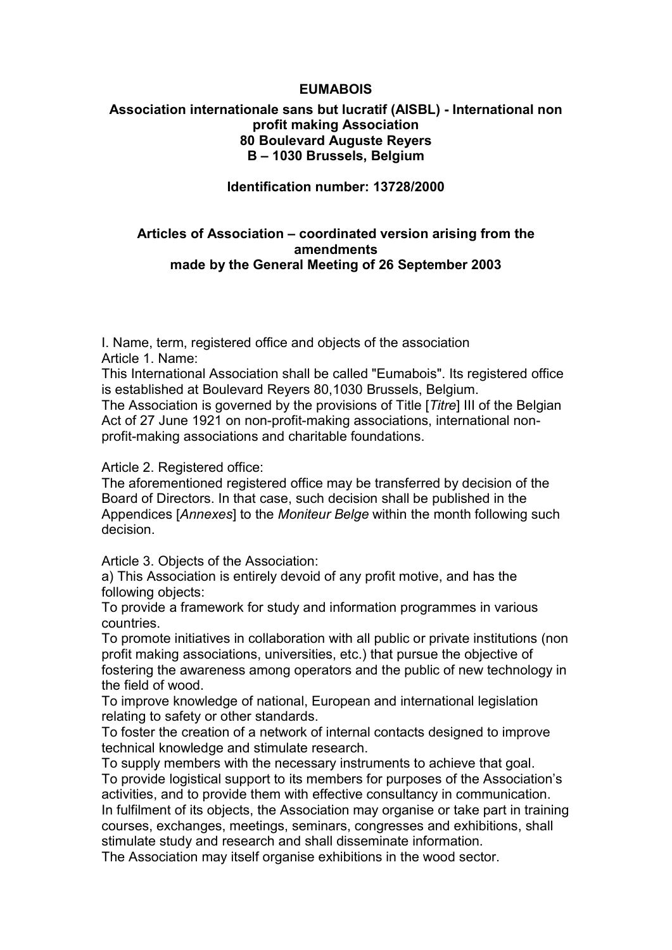#### EUMABOIS

### Association internationale sans but lucratif (AISBL) - International non profit making Association 80 Boulevard Auguste Reyers B – 1030 Brussels, Belgium

#### Identification number: 13728/2000

#### Articles of Association – coordinated version arising from the amendments made by the General Meeting of 26 September 2003

I. Name, term, registered office and objects of the association Article 1. Name:

This International Association shall be called "Eumabois". Its registered office is established at Boulevard Reyers 80,1030 Brussels, Belgium.

The Association is governed by the provisions of Title [Titre] III of the Belgian Act of 27 June 1921 on non-profit-making associations, international nonprofit-making associations and charitable foundations.

Article 2. Registered office:

The aforementioned registered office may be transferred by decision of the Board of Directors. In that case, such decision shall be published in the Appendices [Annexes] to the Moniteur Belge within the month following such decision.

Article 3. Objects of the Association:

a) This Association is entirely devoid of any profit motive, and has the following objects:

To provide a framework for study and information programmes in various countries.

To promote initiatives in collaboration with all public or private institutions (non profit making associations, universities, etc.) that pursue the objective of fostering the awareness among operators and the public of new technology in the field of wood.

To improve knowledge of national, European and international legislation relating to safety or other standards.

To foster the creation of a network of internal contacts designed to improve technical knowledge and stimulate research.

To supply members with the necessary instruments to achieve that goal. To provide logistical support to its members for purposes of the Association's activities, and to provide them with effective consultancy in communication. In fulfilment of its objects, the Association may organise or take part in training courses, exchanges, meetings, seminars, congresses and exhibitions, shall stimulate study and research and shall disseminate information.

The Association may itself organise exhibitions in the wood sector.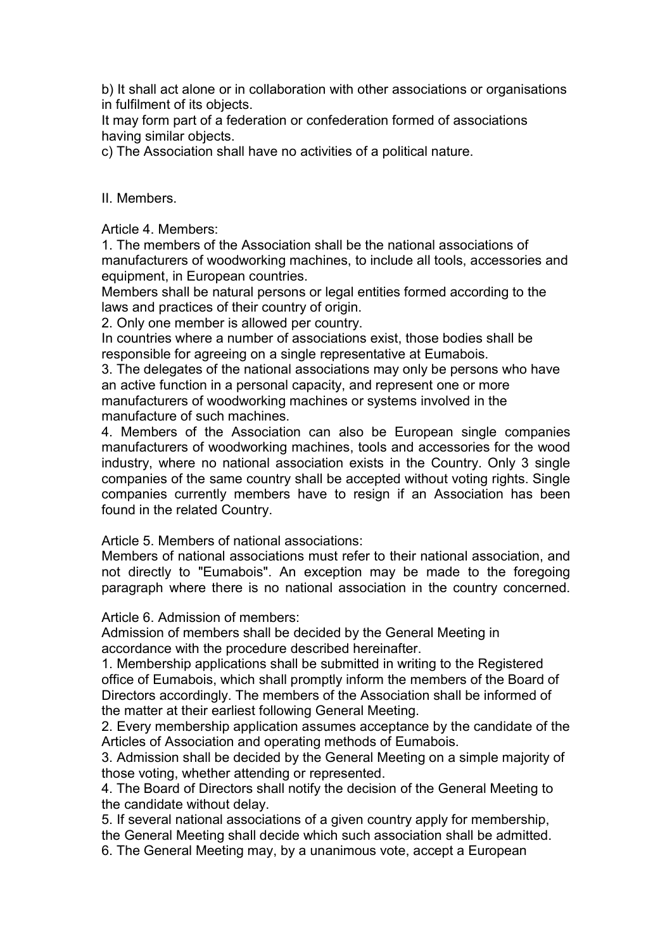b) It shall act alone or in collaboration with other associations or organisations in fulfilment of its objects.

It may form part of a federation or confederation formed of associations having similar objects.

c) The Association shall have no activities of a political nature.

#### II. Members.

Article 4. Members:

1. The members of the Association shall be the national associations of manufacturers of woodworking machines, to include all tools, accessories and equipment, in European countries.

Members shall be natural persons or legal entities formed according to the laws and practices of their country of origin.

2. Only one member is allowed per country.

In countries where a number of associations exist, those bodies shall be responsible for agreeing on a single representative at Eumabois.

3. The delegates of the national associations may only be persons who have an active function in a personal capacity, and represent one or more manufacturers of woodworking machines or systems involved in the manufacture of such machines.

4. Members of the Association can also be European single companies manufacturers of woodworking machines, tools and accessories for the wood industry, where no national association exists in the Country. Only 3 single companies of the same country shall be accepted without voting rights. Single companies currently members have to resign if an Association has been found in the related Country.

Article 5. Members of national associations:

Members of national associations must refer to their national association, and not directly to "Eumabois". An exception may be made to the foregoing paragraph where there is no national association in the country concerned.

Article 6. Admission of members:

Admission of members shall be decided by the General Meeting in accordance with the procedure described hereinafter.

1. Membership applications shall be submitted in writing to the Registered office of Eumabois, which shall promptly inform the members of the Board of Directors accordingly. The members of the Association shall be informed of the matter at their earliest following General Meeting.

2. Every membership application assumes acceptance by the candidate of the Articles of Association and operating methods of Eumabois.

3. Admission shall be decided by the General Meeting on a simple majority of those voting, whether attending or represented.

4. The Board of Directors shall notify the decision of the General Meeting to the candidate without delay.

5. If several national associations of a given country apply for membership, the General Meeting shall decide which such association shall be admitted. 6. The General Meeting may, by a unanimous vote, accept a European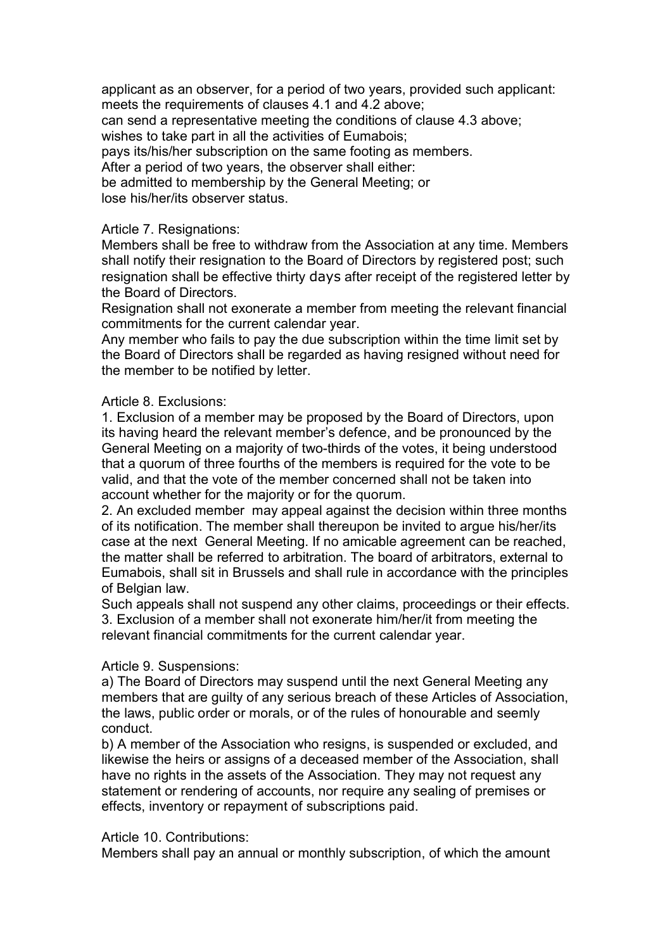applicant as an observer, for a period of two years, provided such applicant: meets the requirements of clauses 4.1 and 4.2 above;

can send a representative meeting the conditions of clause 4.3 above; wishes to take part in all the activities of Eumabois;

pays its/his/her subscription on the same footing as members.

After a period of two years, the observer shall either:

be admitted to membership by the General Meeting; or lose his/her/its observer status.

#### Article 7. Resignations:

Members shall be free to withdraw from the Association at any time. Members shall notify their resignation to the Board of Directors by registered post; such resignation shall be effective thirty days after receipt of the registered letter by the Board of Directors.

Resignation shall not exonerate a member from meeting the relevant financial commitments for the current calendar year.

Any member who fails to pay the due subscription within the time limit set by the Board of Directors shall be regarded as having resigned without need for the member to be notified by letter.

#### Article 8. Exclusions:

1. Exclusion of a member may be proposed by the Board of Directors, upon its having heard the relevant member's defence, and be pronounced by the General Meeting on a majority of two-thirds of the votes, it being understood that a quorum of three fourths of the members is required for the vote to be valid, and that the vote of the member concerned shall not be taken into account whether for the majority or for the quorum.

2. An excluded member may appeal against the decision within three months of its notification. The member shall thereupon be invited to argue his/her/its case at the next General Meeting. If no amicable agreement can be reached, the matter shall be referred to arbitration. The board of arbitrators, external to Eumabois, shall sit in Brussels and shall rule in accordance with the principles of Belgian law.

Such appeals shall not suspend any other claims, proceedings or their effects. 3. Exclusion of a member shall not exonerate him/her/it from meeting the relevant financial commitments for the current calendar year.

### Article 9. Suspensions:

a) The Board of Directors may suspend until the next General Meeting any members that are guilty of any serious breach of these Articles of Association, the laws, public order or morals, or of the rules of honourable and seemly conduct.

b) A member of the Association who resigns, is suspended or excluded, and likewise the heirs or assigns of a deceased member of the Association, shall have no rights in the assets of the Association. They may not request any statement or rendering of accounts, nor require any sealing of premises or effects, inventory or repayment of subscriptions paid.

#### Article 10. Contributions:

Members shall pay an annual or monthly subscription, of which the amount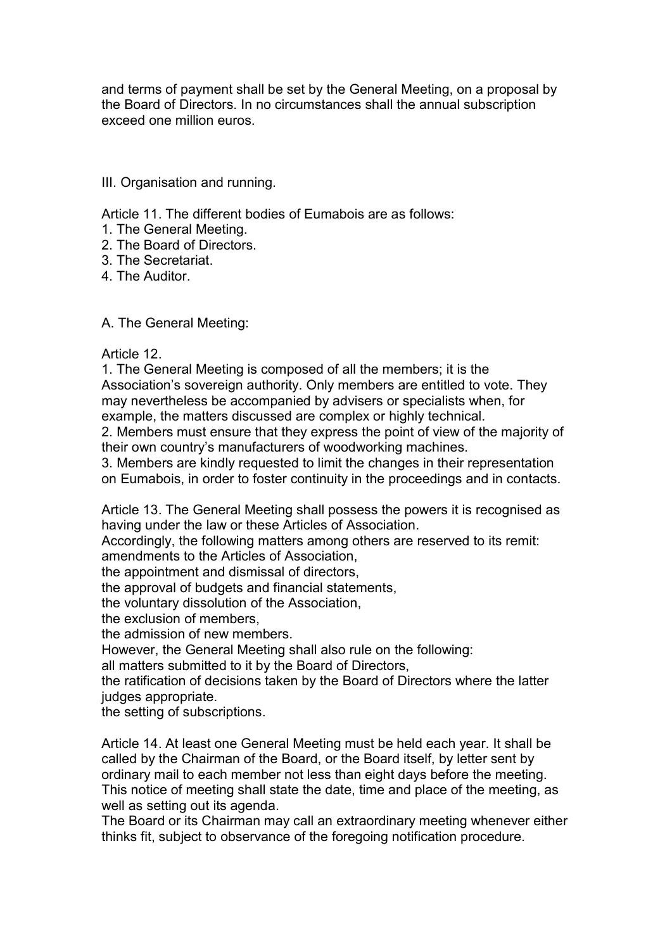and terms of payment shall be set by the General Meeting, on a proposal by the Board of Directors. In no circumstances shall the annual subscription exceed one million euros.

### III. Organisation and running.

Article 11. The different bodies of Eumabois are as follows:

- 1. The General Meeting.
- 2. The Board of Directors.
- 3. The Secretariat.
- 4. The Auditor.

A. The General Meeting:

### Article 12.

1. The General Meeting is composed of all the members; it is the Association's sovereign authority. Only members are entitled to vote. They may nevertheless be accompanied by advisers or specialists when, for example, the matters discussed are complex or highly technical.

2. Members must ensure that they express the point of view of the majority of their own country's manufacturers of woodworking machines.

3. Members are kindly requested to limit the changes in their representation on Eumabois, in order to foster continuity in the proceedings and in contacts.

Article 13. The General Meeting shall possess the powers it is recognised as having under the law or these Articles of Association.

Accordingly, the following matters among others are reserved to its remit: amendments to the Articles of Association,

the appointment and dismissal of directors,

the approval of budgets and financial statements,

the voluntary dissolution of the Association,

the exclusion of members,

the admission of new members.

However, the General Meeting shall also rule on the following:

all matters submitted to it by the Board of Directors,

the ratification of decisions taken by the Board of Directors where the latter judges appropriate.

the setting of subscriptions.

Article 14. At least one General Meeting must be held each year. It shall be called by the Chairman of the Board, or the Board itself, by letter sent by ordinary mail to each member not less than eight days before the meeting. This notice of meeting shall state the date, time and place of the meeting, as well as setting out its agenda.

The Board or its Chairman may call an extraordinary meeting whenever either thinks fit, subject to observance of the foregoing notification procedure.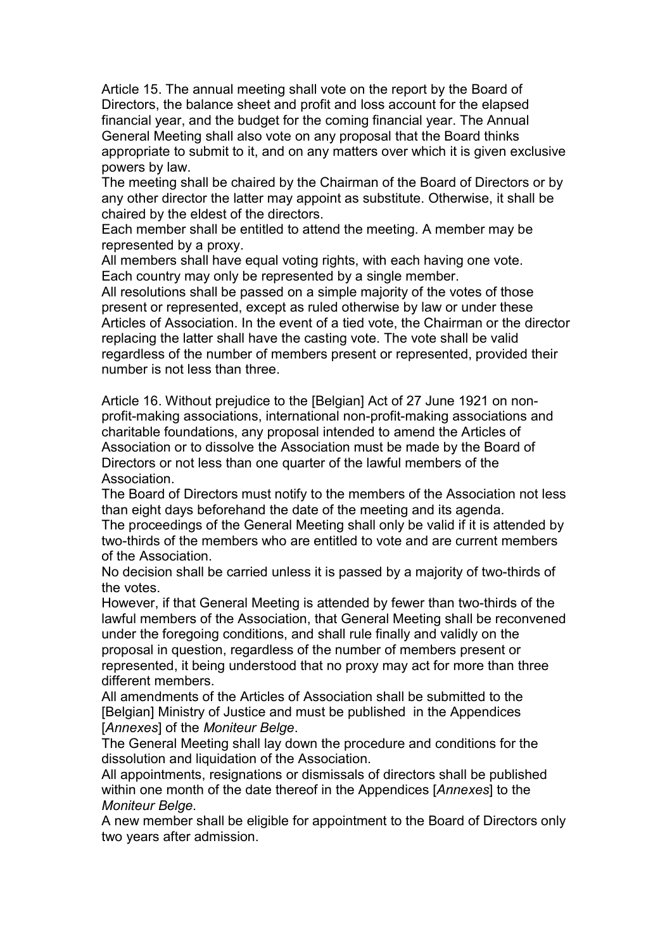Article 15. The annual meeting shall vote on the report by the Board of Directors, the balance sheet and profit and loss account for the elapsed financial year, and the budget for the coming financial year. The Annual General Meeting shall also vote on any proposal that the Board thinks appropriate to submit to it, and on any matters over which it is given exclusive powers by law.

The meeting shall be chaired by the Chairman of the Board of Directors or by any other director the latter may appoint as substitute. Otherwise, it shall be chaired by the eldest of the directors.

Each member shall be entitled to attend the meeting. A member may be represented by a proxy.

All members shall have equal voting rights, with each having one vote. Each country may only be represented by a single member.

All resolutions shall be passed on a simple majority of the votes of those present or represented, except as ruled otherwise by law or under these Articles of Association. In the event of a tied vote, the Chairman or the director replacing the latter shall have the casting vote. The vote shall be valid regardless of the number of members present or represented, provided their number is not less than three.

Article 16. Without prejudice to the [Belgian] Act of 27 June 1921 on nonprofit-making associations, international non-profit-making associations and charitable foundations, any proposal intended to amend the Articles of Association or to dissolve the Association must be made by the Board of Directors or not less than one quarter of the lawful members of the **Association** 

The Board of Directors must notify to the members of the Association not less than eight days beforehand the date of the meeting and its agenda.

The proceedings of the General Meeting shall only be valid if it is attended by two-thirds of the members who are entitled to vote and are current members of the Association.

No decision shall be carried unless it is passed by a majority of two-thirds of the votes.

However, if that General Meeting is attended by fewer than two-thirds of the lawful members of the Association, that General Meeting shall be reconvened under the foregoing conditions, and shall rule finally and validly on the proposal in question, regardless of the number of members present or represented, it being understood that no proxy may act for more than three different members.

All amendments of the Articles of Association shall be submitted to the [Belgian] Ministry of Justice and must be published in the Appendices [Annexes] of the Moniteur Belge.

The General Meeting shall lay down the procedure and conditions for the dissolution and liquidation of the Association.

All appointments, resignations or dismissals of directors shall be published within one month of the date thereof in the Appendices [Annexes] to the Moniteur Belge.

A new member shall be eligible for appointment to the Board of Directors only two years after admission.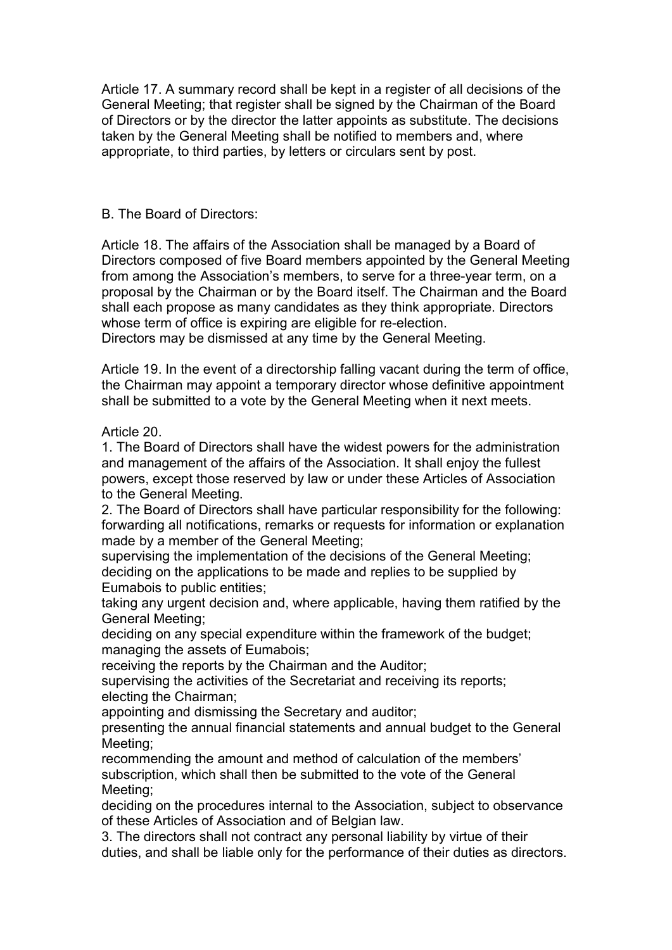Article 17. A summary record shall be kept in a register of all decisions of the General Meeting; that register shall be signed by the Chairman of the Board of Directors or by the director the latter appoints as substitute. The decisions taken by the General Meeting shall be notified to members and, where appropriate, to third parties, by letters or circulars sent by post.

### B. The Board of Directors:

Article 18. The affairs of the Association shall be managed by a Board of Directors composed of five Board members appointed by the General Meeting from among the Association's members, to serve for a three-year term, on a proposal by the Chairman or by the Board itself. The Chairman and the Board shall each propose as many candidates as they think appropriate. Directors whose term of office is expiring are eligible for re-election.

Directors may be dismissed at any time by the General Meeting.

Article 19. In the event of a directorship falling vacant during the term of office, the Chairman may appoint a temporary director whose definitive appointment shall be submitted to a vote by the General Meeting when it next meets.

# Article 20.

1. The Board of Directors shall have the widest powers for the administration and management of the affairs of the Association. It shall enjoy the fullest powers, except those reserved by law or under these Articles of Association to the General Meeting.

2. The Board of Directors shall have particular responsibility for the following: forwarding all notifications, remarks or requests for information or explanation made by a member of the General Meeting;

supervising the implementation of the decisions of the General Meeting; deciding on the applications to be made and replies to be supplied by Eumabois to public entities;

taking any urgent decision and, where applicable, having them ratified by the General Meeting;

deciding on any special expenditure within the framework of the budget; managing the assets of Eumabois;

receiving the reports by the Chairman and the Auditor;

supervising the activities of the Secretariat and receiving its reports; electing the Chairman;

appointing and dismissing the Secretary and auditor;

presenting the annual financial statements and annual budget to the General Meeting;

recommending the amount and method of calculation of the members' subscription, which shall then be submitted to the vote of the General Meeting;

deciding on the procedures internal to the Association, subject to observance of these Articles of Association and of Belgian law.

3. The directors shall not contract any personal liability by virtue of their duties, and shall be liable only for the performance of their duties as directors.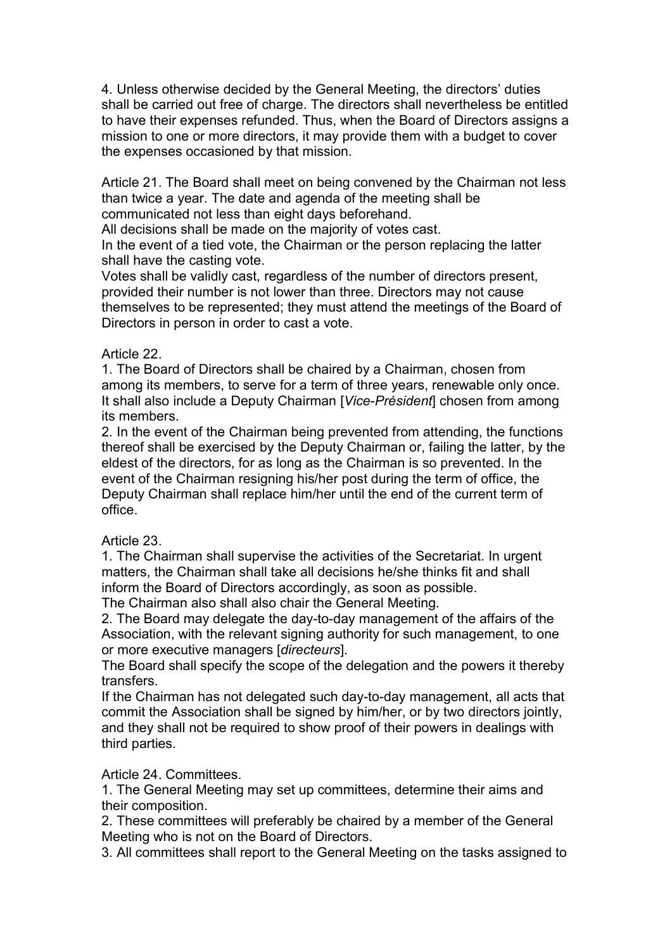4. Unless otherwise decided by the General Meeting, the directors' duties shall be carried out free of charge. The directors shall nevertheless be entitled to have their expenses refunded. Thus, when the Board of Directors assigns a mission to one or more directors, it may provide them with a budget to cover the expenses occasioned by that mission.

Article 21. The Board shall meet on being convened by the Chairman not less than twice a year. The date and agenda of the meeting shall be communicated not less than eight days beforehand.

All decisions shall be made on the majority of votes cast.

In the event of a tied vote, the Chairman or the person replacing the latter shall have the casting vote.

Votes shall be validly cast, regardless of the number of directors present, provided their number is not lower than three. Directors may not cause themselves to be represented; they must attend the meetings of the Board of Directors in person in order to cast a vote.

### Article 22.

1. The Board of Directors shall be chaired by a Chairman, chosen from among its members, to serve for a term of three years, renewable only once. It shall also include a Deputy Chairman [Vice-Président] chosen from among its members.

2. In the event of the Chairman being prevented from attending, the functions thereof shall be exercised by the Deputy Chairman or, failing the latter, by the eldest of the directors, for as long as the Chairman is so prevented. In the event of the Chairman resigning his/her post during the term of office, the Deputy Chairman shall replace him/her until the end of the current term of office.

# Article 23.

1. The Chairman shall supervise the activities of the Secretariat. In urgent matters, the Chairman shall take all decisions he/she thinks fit and shall inform the Board of Directors accordingly, as soon as possible.

The Chairman also shall also chair the General Meeting.

2. The Board may delegate the day-to-day management of the affairs of the Association, with the relevant signing authority for such management, to one or more executive managers [directeurs].

The Board shall specify the scope of the delegation and the powers it thereby transfers.

If the Chairman has not delegated such day-to-day management, all acts that commit the Association shall be signed by him/her, or by two directors jointly, and they shall not be required to show proof of their powers in dealings with third parties.

Article 24. Committees.

1. The General Meeting may set up committees, determine their aims and their composition.

2. These committees will preferably be chaired by a member of the General Meeting who is not on the Board of Directors.

3. All committees shall report to the General Meeting on the tasks assigned to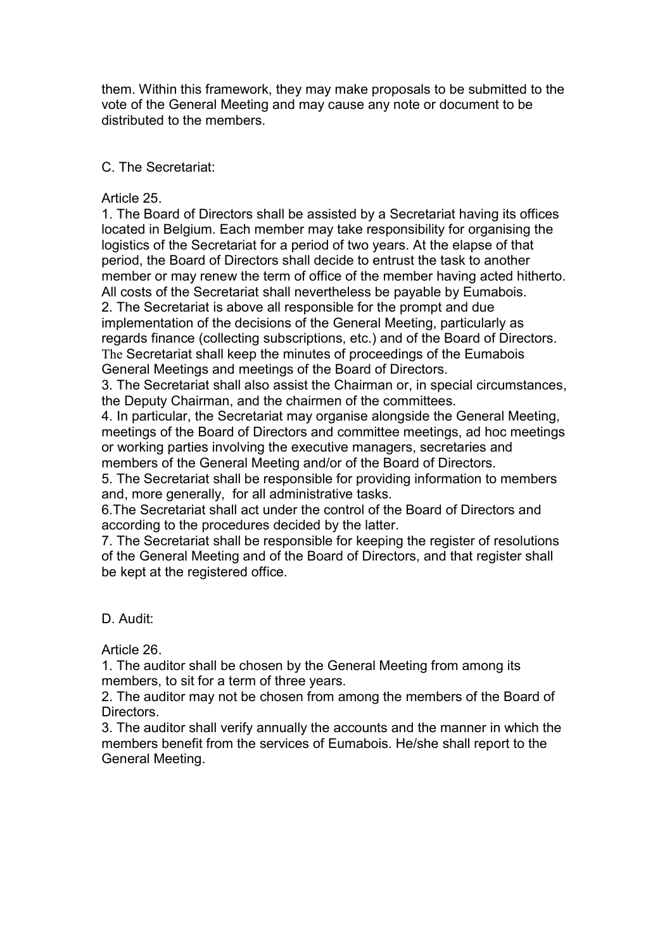them. Within this framework, they may make proposals to be submitted to the vote of the General Meeting and may cause any note or document to be distributed to the members.

# C. The Secretariat:

### Article 25.

1. The Board of Directors shall be assisted by a Secretariat having its offices located in Belgium. Each member may take responsibility for organising the logistics of the Secretariat for a period of two years. At the elapse of that period, the Board of Directors shall decide to entrust the task to another member or may renew the term of office of the member having acted hitherto. All costs of the Secretariat shall nevertheless be payable by Eumabois. 2. The Secretariat is above all responsible for the prompt and due implementation of the decisions of the General Meeting, particularly as regards finance (collecting subscriptions, etc.) and of the Board of Directors. The Secretariat shall keep the minutes of proceedings of the Eumabois General Meetings and meetings of the Board of Directors.

3. The Secretariat shall also assist the Chairman or, in special circumstances, the Deputy Chairman, and the chairmen of the committees.

4. In particular, the Secretariat may organise alongside the General Meeting, meetings of the Board of Directors and committee meetings, ad hoc meetings or working parties involving the executive managers, secretaries and members of the General Meeting and/or of the Board of Directors.

5. The Secretariat shall be responsible for providing information to members and, more generally, for all administrative tasks.

6.The Secretariat shall act under the control of the Board of Directors and according to the procedures decided by the latter.

7. The Secretariat shall be responsible for keeping the register of resolutions of the General Meeting and of the Board of Directors, and that register shall be kept at the registered office.

### D. Audit:

Article 26.

1. The auditor shall be chosen by the General Meeting from among its members, to sit for a term of three years.

2. The auditor may not be chosen from among the members of the Board of **Directors** 

3. The auditor shall verify annually the accounts and the manner in which the members benefit from the services of Eumabois. He/she shall report to the General Meeting.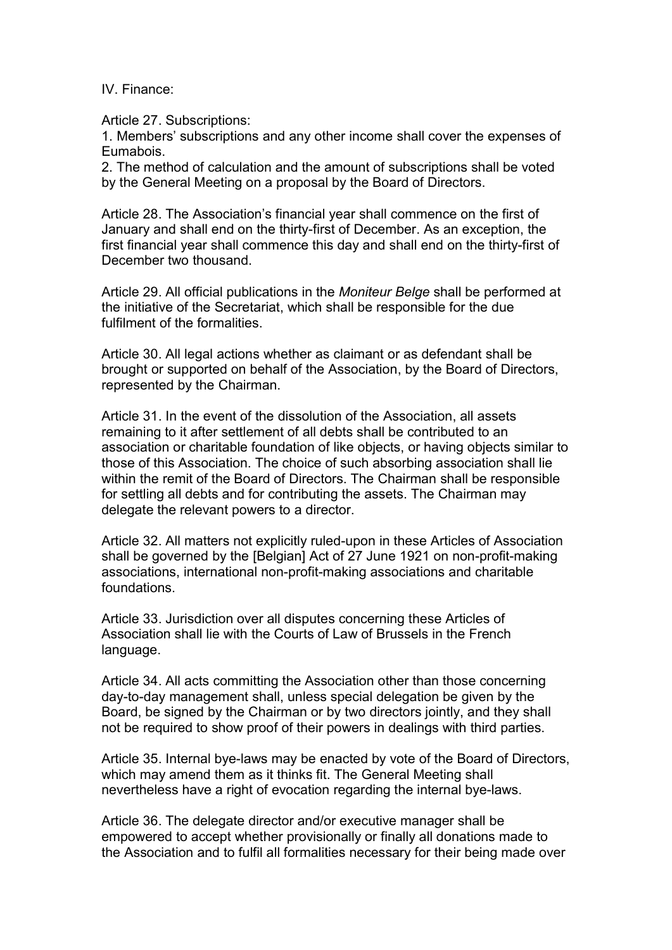IV. Finance:

Article 27. Subscriptions:

1. Members' subscriptions and any other income shall cover the expenses of Eumabois.

2. The method of calculation and the amount of subscriptions shall be voted by the General Meeting on a proposal by the Board of Directors.

Article 28. The Association's financial year shall commence on the first of January and shall end on the thirty-first of December. As an exception, the first financial year shall commence this day and shall end on the thirty-first of December two thousand.

Article 29. All official publications in the Moniteur Belge shall be performed at the initiative of the Secretariat, which shall be responsible for the due fulfilment of the formalities.

Article 30. All legal actions whether as claimant or as defendant shall be brought or supported on behalf of the Association, by the Board of Directors, represented by the Chairman.

Article 31. In the event of the dissolution of the Association, all assets remaining to it after settlement of all debts shall be contributed to an association or charitable foundation of like objects, or having objects similar to those of this Association. The choice of such absorbing association shall lie within the remit of the Board of Directors. The Chairman shall be responsible for settling all debts and for contributing the assets. The Chairman may delegate the relevant powers to a director.

Article 32. All matters not explicitly ruled-upon in these Articles of Association shall be governed by the [Belgian] Act of 27 June 1921 on non-profit-making associations, international non-profit-making associations and charitable foundations.

Article 33. Jurisdiction over all disputes concerning these Articles of Association shall lie with the Courts of Law of Brussels in the French language.

Article 34. All acts committing the Association other than those concerning day-to-day management shall, unless special delegation be given by the Board, be signed by the Chairman or by two directors jointly, and they shall not be required to show proof of their powers in dealings with third parties.

Article 35. Internal bye-laws may be enacted by vote of the Board of Directors, which may amend them as it thinks fit. The General Meeting shall nevertheless have a right of evocation regarding the internal bye-laws.

Article 36. The delegate director and/or executive manager shall be empowered to accept whether provisionally or finally all donations made to the Association and to fulfil all formalities necessary for their being made over